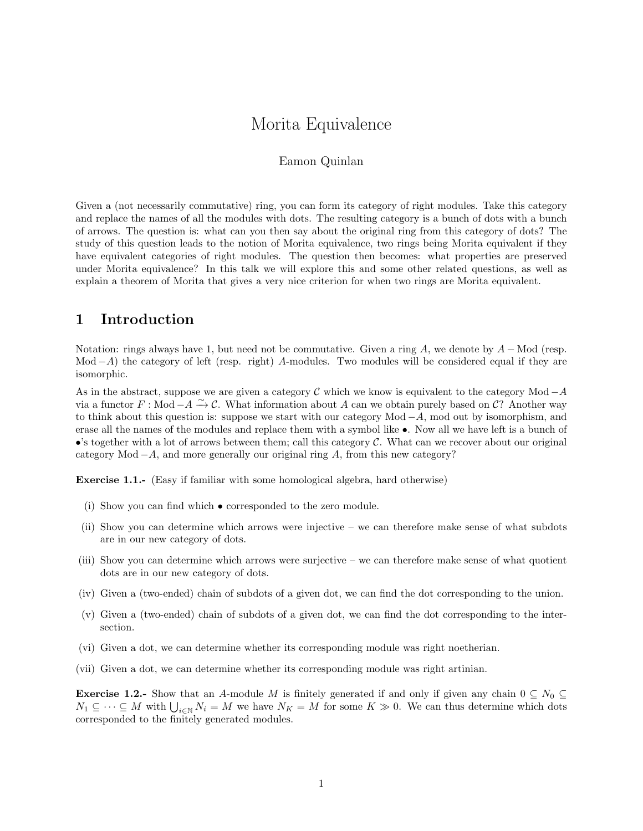# Morita Equivalence

#### Eamon Quinlan

Given a (not necessarily commutative) ring, you can form its category of right modules. Take this category and replace the names of all the modules with dots. The resulting category is a bunch of dots with a bunch of arrows. The question is: what can you then say about the original ring from this category of dots? The study of this question leads to the notion of Morita equivalence, two rings being Morita equivalent if they have equivalent categories of right modules. The question then becomes: what properties are preserved under Morita equivalence? In this talk we will explore this and some other related questions, as well as explain a theorem of Morita that gives a very nice criterion for when two rings are Morita equivalent.

## 1 Introduction

Notation: rings always have 1, but need not be commutative. Given a ring A, we denote by  $A - Mod$  (resp. Mod  $-A$ ) the category of left (resp. right) A-modules. Two modules will be considered equal if they are isomorphic.

As in the abstract, suppose we are given a category  $\mathcal C$  which we know is equivalent to the category Mod  $-A$ via a functor  $F : Mod - A \xrightarrow{\sim} C$ . What information about A can we obtain purely based on C? Another way to think about this question is: suppose we start with our category Mod  $-A$ , mod out by isomorphism, and erase all the names of the modules and replace them with a symbol like •. Now all we have left is a bunch of •'s together with a lot of arrows between them; call this category  $\mathcal C$ . What can we recover about our original category Mod  $-A$ , and more generally our original ring A, from this new category?

Exercise 1.1.- (Easy if familiar with some homological algebra, hard otherwise)

- (i) Show you can find which corresponded to the zero module.
- (ii) Show you can determine which arrows were injective we can therefore make sense of what subdots are in our new category of dots.
- (iii) Show you can determine which arrows were surjective we can therefore make sense of what quotient dots are in our new category of dots.
- (iv) Given a (two-ended) chain of subdots of a given dot, we can find the dot corresponding to the union.
- (v) Given a (two-ended) chain of subdots of a given dot, we can find the dot corresponding to the intersection.
- (vi) Given a dot, we can determine whether its corresponding module was right noetherian.
- (vii) Given a dot, we can determine whether its corresponding module was right artinian.

**Exercise 1.2.-** Show that an A-module M is finitely generated if and only if given any chain  $0 \subseteq N_0 \subseteq$  $N_1 \subseteq \cdots \subseteq M$  with  $\bigcup_{i\in\mathbb{N}} N_i = M$  we have  $N_K = M$  for some  $K \gg 0$ . We can thus determine which dots corresponded to the finitely generated modules.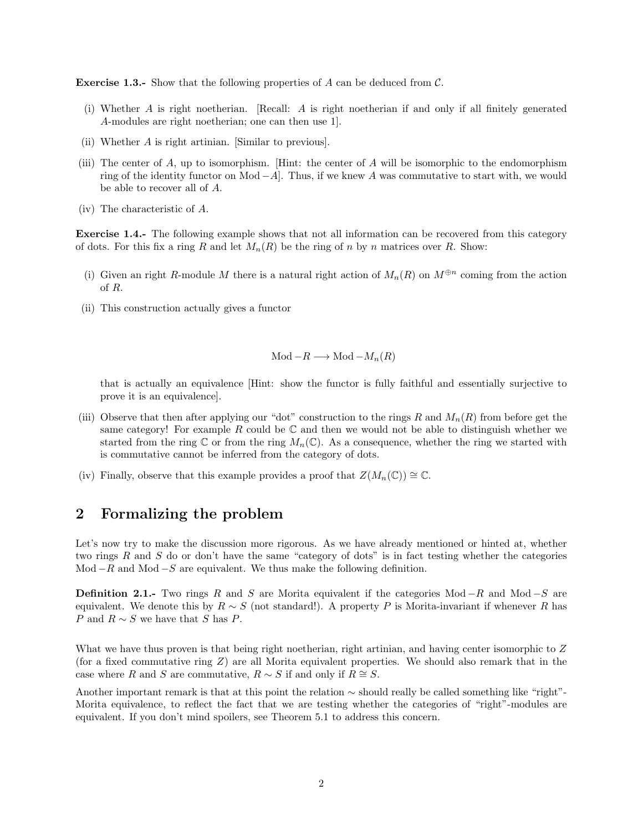**Exercise 1.3.-** Show that the following properties of A can be deduced from  $\mathcal{C}$ .

- (i) Whether A is right noetherian. [Recall: A is right noetherian if and only if all finitely generated A-modules are right noetherian; one can then use 1].
- (ii) Whether A is right artinian. [Similar to previous].
- (iii) The center of  $A$ , up to isomorphism. [Hint: the center of  $A$  will be isomorphic to the endomorphism ring of the identity functor on Mod  $-A$ . Thus, if we knew A was commutative to start with, we would be able to recover all of A.
- (iv) The characteristic of A.

Exercise 1.4.- The following example shows that not all information can be recovered from this category of dots. For this fix a ring R and let  $M_n(R)$  be the ring of n by n matrices over R. Show:

- (i) Given an right R-module M there is a natural right action of  $M_n(R)$  on  $M^{\oplus n}$  coming from the action of R.
- (ii) This construction actually gives a functor

$$
Mod - R \longrightarrow Mod - M_n(R)
$$

that is actually an equivalence [Hint: show the functor is fully faithful and essentially surjective to prove it is an equivalence].

- (iii) Observe that then after applying our "dot" construction to the rings R and  $M_n(R)$  from before get the same category! For example R could be  $\mathbb C$  and then we would not be able to distinguish whether we started from the ring  $\mathbb C$  or from the ring  $M_n(\mathbb C)$ . As a consequence, whether the ring we started with is commutative cannot be inferred from the category of dots.
- (iv) Finally, observe that this example provides a proof that  $Z(M_n(\mathbb{C})) \cong \mathbb{C}$ .

## 2 Formalizing the problem

Let's now try to make the discussion more rigorous. As we have already mentioned or hinted at, whether two rings R and S do or don't have the same "category of dots" is in fact testing whether the categories Mod  $-R$  and Mod  $-S$  are equivalent. We thus make the following definition.

**Definition 2.1.-** Two rings R and S are Morita equivalent if the categories Mod  $-R$  and Mod  $-S$  are equivalent. We denote this by  $R \sim S$  (not standard!). A property P is Morita-invariant if whenever R has P and  $R \sim S$  we have that S has P.

What we have thus proven is that being right noetherian, right artinian, and having center isomorphic to Z (for a fixed commutative ring  $Z$ ) are all Morita equivalent properties. We should also remark that in the case where R and S are commutative,  $R \sim S$  if and only if  $R \cong S$ .

Another important remark is that at this point the relation ∼ should really be called something like "right"- Morita equivalence, to reflect the fact that we are testing whether the categories of "right"-modules are equivalent. If you don't mind spoilers, see Theorem 5.1 to address this concern.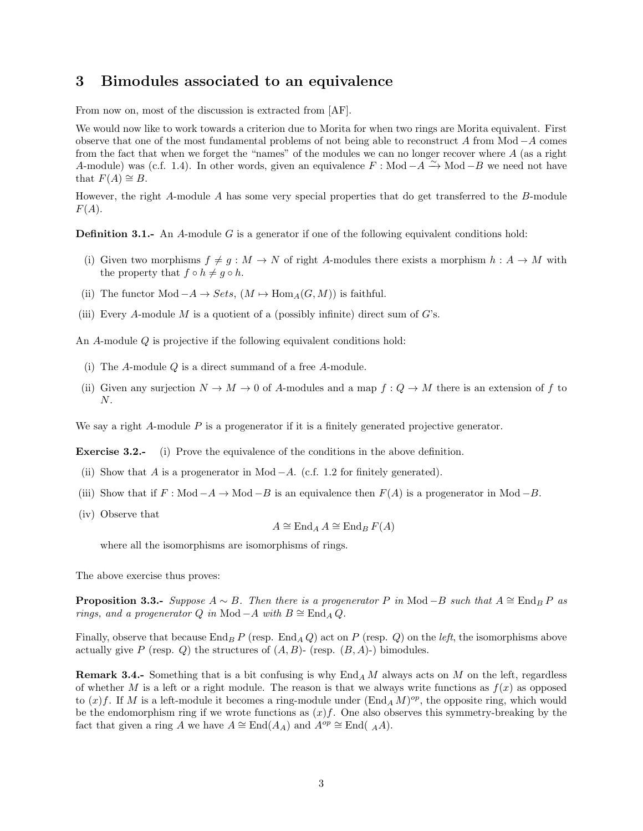#### 3 Bimodules associated to an equivalence

From now on, most of the discussion is extracted from [AF].

We would now like to work towards a criterion due to Morita for when two rings are Morita equivalent. First observe that one of the most fundamental problems of not being able to reconstruct A from Mod −A comes from the fact that when we forget the "names" of the modules we can no longer recover where A (as a right A-module) was (c.f. 1.4). In other words, given an equivalence  $F : Mod - A \to Mod - B$  we need not have that  $F(A) \cong B$ .

However, the right A-module A has some very special properties that do get transferred to the B-module  $F(A).$ 

**Definition 3.1.-** An A-module G is a generator if one of the following equivalent conditions hold:

- (i) Given two morphisms  $f \neq g : M \to N$  of right A-modules there exists a morphism  $h : A \to M$  with the property that  $f \circ h \neq g \circ h$ .
- (ii) The functor Mod  $-A \to Sets$ ,  $(M \mapsto \text{Hom}_A(G, M))$  is faithful.
- (iii) Every A-module M is a quotient of a (possibly infinite) direct sum of  $G$ 's.

An A-module Q is projective if the following equivalent conditions hold:

- (i) The  $A$ -module  $Q$  is a direct summand of a free  $A$ -module.
- (ii) Given any surjection  $N \to M \to 0$  of A-modules and a map  $f: Q \to M$  there is an extension of f to N.

We say a right  $A$ -module  $P$  is a progenerator if it is a finitely generated projective generator.

Exercise 3.2.- (i) Prove the equivalence of the conditions in the above definition.

- (ii) Show that A is a progenerator in Mod  $-A$ . (c.f. 1.2 for finitely generated).
- (iii) Show that if  $F : Mod A \to Mod B$  is an equivalence then  $F(A)$  is a progenerator in Mod -B.
- (iv) Observe that

$$
A \cong \operatorname{End}_A A \cong \operatorname{End}_B F(A)
$$

where all the isomorphisms are isomorphisms of rings.

The above exercise thus proves:

**Proposition 3.3.-** Suppose  $A \sim B$ . Then there is a progenerator P in Mod −B such that  $A \cong$  End<sub>B</sub> P as rings, and a progenerator Q in Mod − A with  $B \cong$  End<sub>A</sub> Q.

Finally, observe that because End<sub>B</sub> P (resp. End<sub>A</sub> Q) act on P (resp. Q) on the *left*, the isomorphisms above actually give P (resp. Q) the structures of  $(A, B)$ - (resp.  $(B, A)$ -) bimodules.

**Remark 3.4.-** Something that is a bit confusing is why  $\text{End}_A M$  always acts on M on the left, regardless of whether M is a left or a right module. The reason is that we always write functions as  $f(x)$  as opposed to  $(x)$  f. If M is a left-module it becomes a ring-module under  $(End_A M)^{op}$ , the opposite ring, which would be the endomorphism ring if we wrote functions as  $(x)f$ . One also observes this symmetry-breaking by the fact that given a ring A we have  $A \cong \text{End}(A_A)$  and  $A^{op} \cong \text{End}((A_A))$ .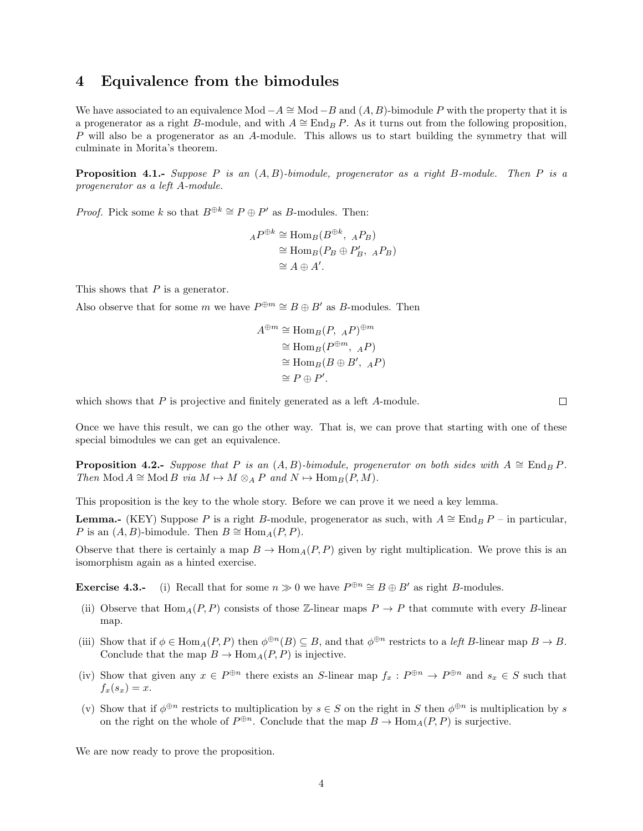#### 4 Equivalence from the bimodules

We have associated to an equivalence Mod  $-A \cong Mod-B$  and  $(A, B)$ -bimodule P with the property that it is a progenerator as a right B-module, and with  $A \cong \text{End}_B P$ . As it turns out from the following proposition, P will also be a progenerator as an A-module. This allows us to start building the symmetry that will culminate in Morita's theorem.

**Proposition 4.1.-** Suppose P is an  $(A, B)$ -bimodule, progenerator as a right B-module. Then P is a progenerator as a left A-module.

*Proof.* Pick some k so that  $B^{\oplus k} \cong P \oplus P'$  as B-modules. Then:

$$
{}_{A}P^{\oplus k} \cong \text{Hom}_{B}(B^{\oplus k}, {}_{A}P_{B})
$$
  
\n
$$
\cong \text{Hom}_{B}(P_{B} \oplus P'_{B}, {}_{A}P_{B})
$$
  
\n
$$
\cong A \oplus A'.
$$

This shows that  $P$  is a generator.

Also observe that for some m we have  $P^{\oplus m} \cong B \oplus B'$  as B-modules. Then

$$
A^{\oplus m} \cong \text{Hom}_{B}(P, \, {}_{A}P)^{\oplus m}
$$

$$
\cong \text{Hom}_{B}(P^{\oplus m}, \, {}_{A}P)
$$

$$
\cong \text{Hom}_{B}(B \oplus B', \, {}_{A}P)
$$

$$
\cong P \oplus P'.
$$

which shows that  $P$  is projective and finitely generated as a left  $A$ -module.

 $\Box$ 

Once we have this result, we can go the other way. That is, we can prove that starting with one of these special bimodules we can get an equivalence.

**Proposition 4.2.-** Suppose that P is an  $(A, B)$ -bimodule, progenerator on both sides with  $A \cong \text{End}_B P$ . Then Mod  $A \cong Mod B$  via  $M \mapsto M \otimes_A P$  and  $N \mapsto Hom_B(P, M)$ .

This proposition is the key to the whole story. Before we can prove it we need a key lemma.

**Lemma.**- (KEY) Suppose P is a right B-module, progenerator as such, with  $A \cong \text{End}_B P$  – in particular, P is an  $(A, B)$ -bimodule. Then  $B \cong \text{Hom}_{A}(P, P)$ .

Observe that there is certainly a map  $B \to \text{Hom}_A(P, P)$  given by right multiplication. We prove this is an isomorphism again as a hinted exercise.

**Exercise 4.3.-** (i) Recall that for some  $n \gg 0$  we have  $P^{\oplus n} \cong B \oplus B'$  as right B-modules.

- (ii) Observe that  $\text{Hom}_{A}(P, P)$  consists of those Z-linear maps  $P \to P$  that commute with every B-linear map.
- (iii) Show that if  $\phi \in \text{Hom}_A(P, P)$  then  $\phi^{\oplus n}(B) \subseteq B$ , and that  $\phi^{\oplus n}$  restricts to a left B-linear map  $B \to B$ . Conclude that the map  $B \to \text{Hom}_A(P, P)$  is injective.
- (iv) Show that given any  $x \in P^{\oplus n}$  there exists an S-linear map  $f_x : P^{\oplus n} \to P^{\oplus n}$  and  $s_x \in S$  such that  $f_x(s_x) = x.$
- (v) Show that if  $\phi^{\oplus n}$  restricts to multiplication by  $s \in S$  on the right in S then  $\phi^{\oplus n}$  is multiplication by s on the right on the whole of  $P^{\oplus n}$ . Conclude that the map  $B \to \text{Hom}_A(P, P)$  is surjective.

We are now ready to prove the proposition.